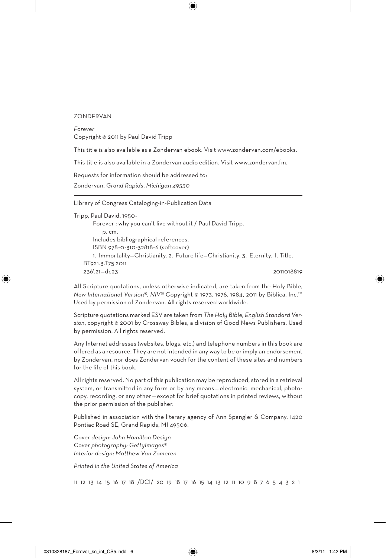#### ZONDERVAN

*Forever* Copyright © 2011 by Paul David Tripp This title is also available as a Zondervan ebook. Visit www.zondervan.com/ebooks. This title is also available in a Zondervan audio edition. Visit www.zondervan.fm. Requests for information should be addressed to: Zondervan, *Grand Rapids*, *Michigan 49530* Library of Congress Cataloging-in-Publication Data Tripp, Paul David, 1950- Forever : why you can't live without it / Paul David Tripp. p. cm. Includes bibliographical references. ISBN 978-0-310-32818-6 (softcover) 1. Immortality—Christianity. 2. Future life—Christianity. 3. Eternity. I. Title. BT921.3.T75 2011 236'.21—dc23 2011018819

All Scripture quotations, unless otherwise indicated, are taken from the Holy Bible, *New International Version®*, *NIV®* Copyright © 1973, 1978, 1984, 2011 by Biblica, Inc.™ Used by permission of Zondervan. All rights reserved worldwide.

Scripture quotations marked ESV are taken from *The Holy Bible, English Standard Version*, copyright © 2001 by Crossway Bibles, a division of Good News Publishers. Used by permission. All rights reserved.

Any Internet addresses (websites, blogs, etc.) and telephone numbers in this book are offered as a resource. They are not intended in any way to be or imply an endorsement by Zondervan, nor does Zondervan vouch for the content of these sites and numbers for the life of this book.

All rights reserved. No part of this publication may be reproduced, stored in a retrieval system, or transmitted in any form or by any means— electronic, mechanical, photocopy, recording, or any other— except for brief quotations in printed reviews, without the prior permission of the publisher.

Published in association with the literary agency of Ann Spangler & Company, 1420 Pontiac Road SE, Grand Rapids, MI 49506.

*Cover design*: *John Hamilton Design Cover photography: GettyImages® Interior design*: *Matthew Van Zomeren*

*Printed in the United States of America*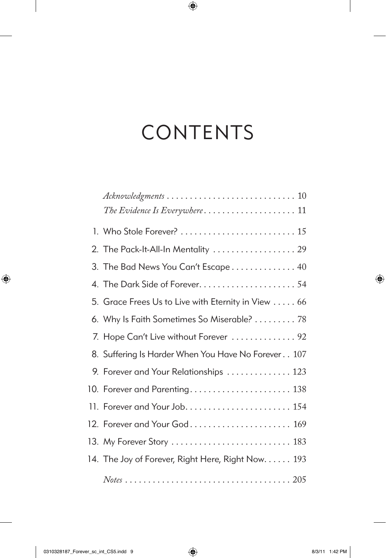# CONTENTS

| 2. The Pack-It-All-In Mentality  29                                                             |
|-------------------------------------------------------------------------------------------------|
| 3. The Bad News You Can't Escape 40                                                             |
|                                                                                                 |
| 5. Grace Frees Us to Live with Eternity in View  66                                             |
| 6. Why Is Faith Sometimes So Miserable? 78                                                      |
| 7. Hope Can't Live without Forever  92                                                          |
| 8. Suffering Is Harder When You Have No Forever 107                                             |
| 9. Forever and Your Relationships  123                                                          |
| 10. Forever and Parenting 138                                                                   |
|                                                                                                 |
| 12. Forever and Your God 169                                                                    |
| 13. My Forever Story  183                                                                       |
| 14. The Joy of Forever, Right Here, Right Now. 193                                              |
| $Notes \ldots \ldots \ldots \ldots \ldots \ldots \ldots \ldots \ldots \ldots \ldots \ldots 205$ |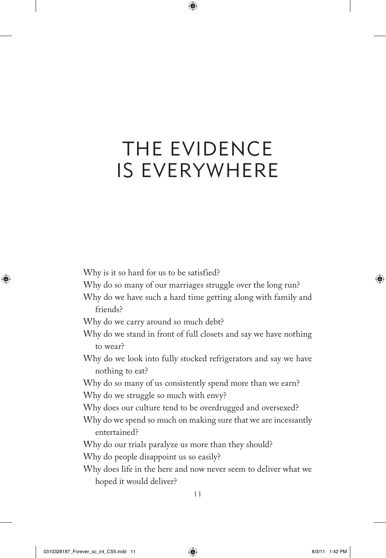## The Evidence Is Everywhere

Why is it so hard for us to be satisfied?

Why do so many of our marriages struggle over the long run?

Why do we have such a hard time getting along with family and friends?

Why do we carry around so much debt?

Why do we stand in front of full closets and say we have nothing to wear?

Why do we look into fully stocked refrigerators and say we have nothing to eat?

Why do so many of us consistently spend more than we earn?

Why do we struggle so much with envy?

Why does our culture tend to be overdrugged and oversexed?

Why do we spend so much on making sure that we are incessantly entertained?

Why do our trials paralyze us more than they should?

Why do people disappoint us so easily?

Why does life in the here and now never seem to deliver what we hoped it would deliver?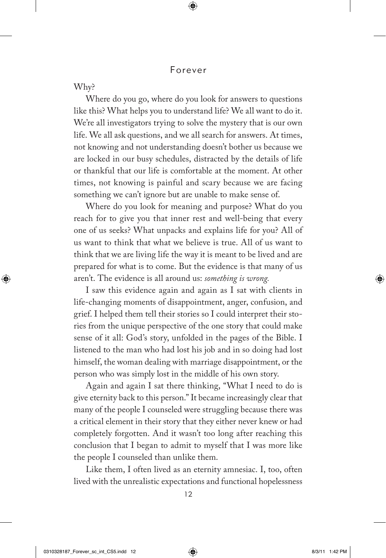Why?

Where do you go, where do you look for answers to questions like this? What helps you to understand life? We all want to do it. We're all investigators trying to solve the mystery that is our own life. We all ask questions, and we all search for answers. At times, not knowing and not understanding doesn't bother us because we are locked in our busy schedules, distracted by the details of life or thankful that our life is comfortable at the moment. At other times, not knowing is painful and scary because we are facing something we can't ignore but are unable to make sense of.

Where do you look for meaning and purpose? What do you reach for to give you that inner rest and well-being that every one of us seeks? What unpacks and explains life for you? All of us want to think that what we believe is true. All of us want to think that we are living life the way it is meant to be lived and are prepared for what is to come. But the evidence is that many of us aren't. The evidence is all around us: *something is wrong.*

I saw this evidence again and again as I sat with clients in life-changing moments of disappointment, anger, confusion, and grief. I helped them tell their stories so I could interpret their stories from the unique perspective of the one story that could make sense of it all: God's story, unfolded in the pages of the Bible. I listened to the man who had lost his job and in so doing had lost himself, the woman dealing with marriage disappointment, or the person who was simply lost in the middle of his own story.

Again and again I sat there thinking, "What I need to do is give eternity back to this person." It became increasingly clear that many of the people I counseled were struggling because there was a critical element in their story that they either never knew or had completely forgotten. And it wasn't too long after reaching this conclusion that I began to admit to myself that I was more like the people I counseled than unlike them.

Like them, I often lived as an eternity amnesiac. I, too, often lived with the unrealistic expectations and functional hopelessness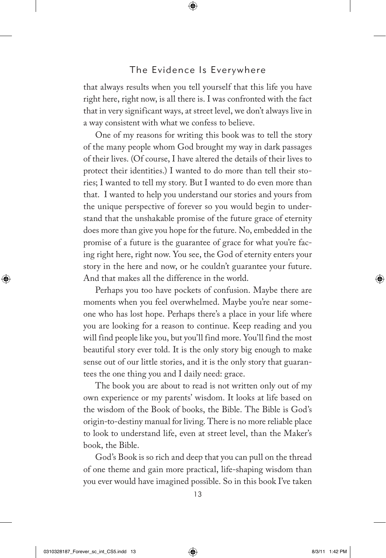### The Evidence Is Everywhere

that always results when you tell yourself that this life you have right here, right now, is all there is. I was confronted with the fact that in very significant ways, at street level, we don't always live in a way consistent with what we confess to believe.

One of my reasons for writing this book was to tell the story of the many people whom God brought my way in dark passages of their lives. (Of course, I have altered the details of their lives to protect their identities.) I wanted to do more than tell their stories; I wanted to tell my story. But I wanted to do even more than that. I wanted to help you understand our stories and yours from the unique perspective of forever so you would begin to understand that the unshakable promise of the future grace of eternity does more than give you hope for the future. No, embedded in the promise of a future is the guarantee of grace for what you're facing right here, right now. You see, the God of eternity enters your story in the here and now, or he couldn't guarantee your future. And that makes all the difference in the world.

Perhaps you too have pockets of confusion. Maybe there are moments when you feel overwhelmed. Maybe you're near someone who has lost hope. Perhaps there's a place in your life where you are looking for a reason to continue. Keep reading and you will find people like you, but you'll find more. You'll find the most beautiful story ever told. It is the only story big enough to make sense out of our little stories, and it is the only story that guarantees the one thing you and I daily need: grace.

The book you are about to read is not written only out of my own experience or my parents' wisdom. It looks at life based on the wisdom of the Book of books, the Bible. The Bible is God's origin-to-destiny manual for living. There is no more reliable place to look to understand life, even at street level, than the Maker's book, the Bible.

God's Book is so rich and deep that you can pull on the thread of one theme and gain more practical, life-shaping wisdom than you ever would have imagined possible. So in this book I've taken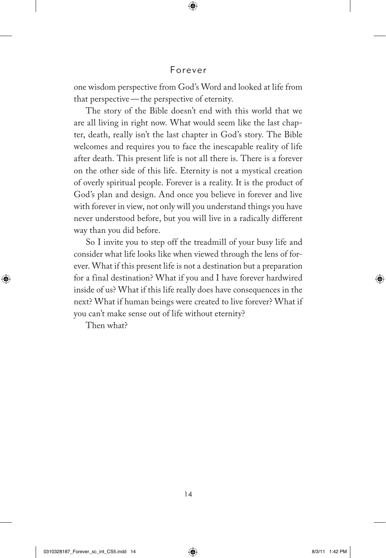one wisdom perspective from God's Word and looked at life from that perspective— the perspective of eternity.

The story of the Bible doesn't end with this world that we are all living in right now. What would seem like the last chapter, death, really isn't the last chapter in God's story. The Bible welcomes and requires you to face the inescapable reality of life after death. This present life is not all there is. There is a forever on the other side of this life. Eternity is not a mystical creation of overly spiritual people. Forever is a reality. It is the product of God's plan and design. And once you believe in forever and live with forever in view, not only will you understand things you have never understood before, but you will live in a radically different way than you did before.

So I invite you to step off the treadmill of your busy life and consider what life looks like when viewed through the lens of forever. What if this present life is not a destination but a preparation for a final destination? What if you and I have forever hardwired inside of us? What if this life really does have consequences in the next? What if human beings were created to live forever? What if you can't make sense out of life without eternity?

Then what?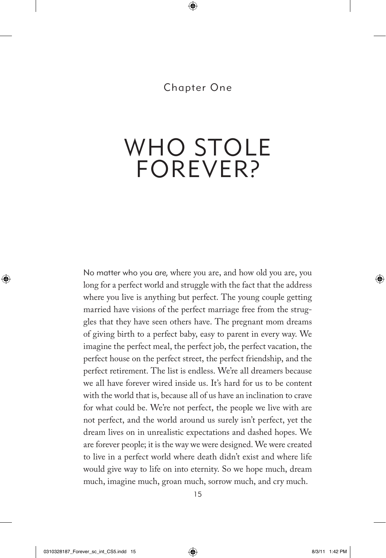Chapter One

## WHO STOLE FOREVER?

No matter who you are, where you are, and how old you are, you long for a perfect world and struggle with the fact that the address where you live is anything but perfect. The young couple getting married have visions of the perfect marriage free from the struggles that they have seen others have. The pregnant mom dreams of giving birth to a perfect baby, easy to parent in every way. We imagine the perfect meal, the perfect job, the perfect vacation, the perfect house on the perfect street, the perfect friendship, and the perfect retirement. The list is endless. We're all dreamers because we all have forever wired inside us. It's hard for us to be content with the world that is, because all of us have an inclination to crave for what could be. We're not perfect, the people we live with are not perfect, and the world around us surely isn't perfect, yet the dream lives on in unrealistic expectations and dashed hopes. We are forever people; it is the way we were designed. We were created to live in a perfect world where death didn't exist and where life would give way to life on into eternity. So we hope much, dream much, imagine much, groan much, sorrow much, and cry much.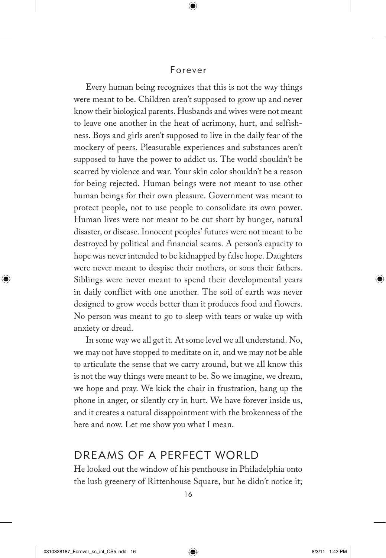Every human being recognizes that this is not the way things were meant to be. Children aren't supposed to grow up and never know their biological parents. Husbands and wives were not meant to leave one another in the heat of acrimony, hurt, and selfishness. Boys and girls aren't supposed to live in the daily fear of the mockery of peers. Pleasurable experiences and substances aren't supposed to have the power to addict us. The world shouldn't be scarred by violence and war. Your skin color shouldn't be a reason for being rejected. Human beings were not meant to use other human beings for their own pleasure. Government was meant to protect people, not to use people to consolidate its own power. Human lives were not meant to be cut short by hunger, natural disaster, or disease. Innocent peoples' futures were not meant to be destroyed by political and financial scams. A person's capacity to hope was never intended to be kidnapped by false hope. Daughters were never meant to despise their mothers, or sons their fathers. Siblings were never meant to spend their developmental years in daily conflict with one another. The soil of earth was never designed to grow weeds better than it produces food and flowers. No person was meant to go to sleep with tears or wake up with anxiety or dread.

In some way we all get it. At some level we all understand. No, we may not have stopped to meditate on it, and we may not be able to articulate the sense that we carry around, but we all know this is not the way things were meant to be. So we imagine, we dream, we hope and pray. We kick the chair in frustration, hang up the phone in anger, or silently cry in hurt. We have forever inside us, and it creates a natural disappointment with the brokenness of the here and now. Let me show you what I mean.

## Dreams of a Perfect World

He looked out the window of his penthouse in Philadelphia onto the lush greenery of Rittenhouse Square, but he didn't notice it;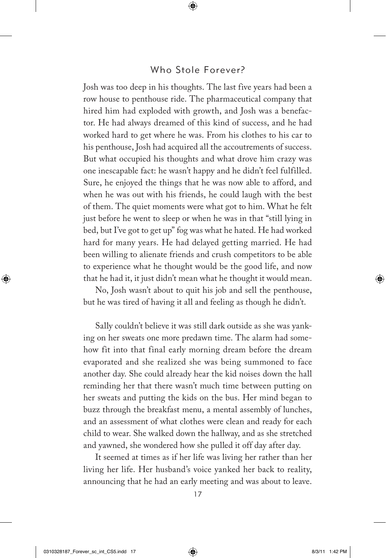## Who Stole Forever?

Josh was too deep in his thoughts. The last five years had been a row house to penthouse ride. The pharmaceutical company that hired him had exploded with growth, and Josh was a benefactor. He had always dreamed of this kind of success, and he had worked hard to get where he was. From his clothes to his car to his penthouse, Josh had acquired all the accoutrements of success. But what occupied his thoughts and what drove him crazy was one inescapable fact: he wasn't happy and he didn't feel fulfilled. Sure, he enjoyed the things that he was now able to afford, and when he was out with his friends, he could laugh with the best of them. The quiet moments were what got to him. What he felt just before he went to sleep or when he was in that "still lying in bed, but I've got to get up" fog was what he hated. He had worked hard for many years. He had delayed getting married. He had been willing to alienate friends and crush competitors to be able to experience what he thought would be the good life, and now that he had it, it just didn't mean what he thought it would mean.

No, Josh wasn't about to quit his job and sell the penthouse, but he was tired of having it all and feeling as though he didn't.

Sally couldn't believe it was still dark outside as she was yanking on her sweats one more predawn time. The alarm had somehow fit into that final early morning dream before the dream evaporated and she realized she was being summoned to face another day. She could already hear the kid noises down the hall reminding her that there wasn't much time between putting on her sweats and putting the kids on the bus. Her mind began to buzz through the breakfast menu, a mental assembly of lunches, and an assessment of what clothes were clean and ready for each child to wear. She walked down the hallway, and as she stretched and yawned, she wondered how she pulled it off day after day.

It seemed at times as if her life was living her rather than her living her life. Her husband's voice yanked her back to reality, announcing that he had an early meeting and was about to leave.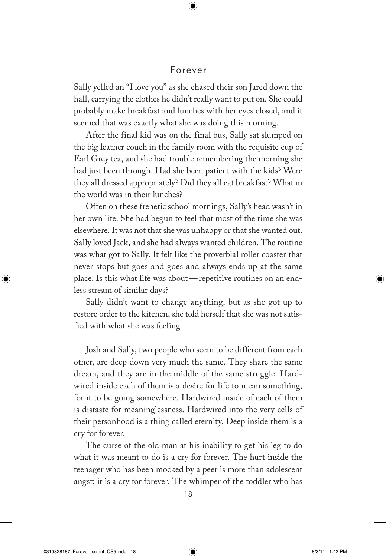Sally yelled an "I love you" as she chased their son Jared down the hall, carrying the clothes he didn't really want to put on. She could probably make breakfast and lunches with her eyes closed, and it seemed that was exactly what she was doing this morning.

After the final kid was on the final bus, Sally sat slumped on the big leather couch in the family room with the requisite cup of Earl Grey tea, and she had trouble remembering the morning she had just been through. Had she been patient with the kids? Were they all dressed appropriately? Did they all eat breakfast? What in the world was in their lunches?

Often on these frenetic school mornings, Sally's head wasn't in her own life. She had begun to feel that most of the time she was elsewhere. It was not that she was unhappy or that she wanted out. Sally loved Jack, and she had always wanted children. The routine was what got to Sally. It felt like the proverbial roller coaster that never stops but goes and goes and always ends up at the same place. Is this what life was about— repetitive routines on an endless stream of similar days?

Sally didn't want to change anything, but as she got up to restore order to the kitchen, she told herself that she was not satisfied with what she was feeling.

Josh and Sally, two people who seem to be different from each other, are deep down very much the same. They share the same dream, and they are in the middle of the same struggle. Hardwired inside each of them is a desire for life to mean something, for it to be going somewhere. Hardwired inside of each of them is distaste for meaninglessness. Hardwired into the very cells of their personhood is a thing called eternity. Deep inside them is a cry for forever.

The curse of the old man at his inability to get his leg to do what it was meant to do is a cry for forever. The hurt inside the teenager who has been mocked by a peer is more than adolescent angst; it is a cry for forever. The whimper of the toddler who has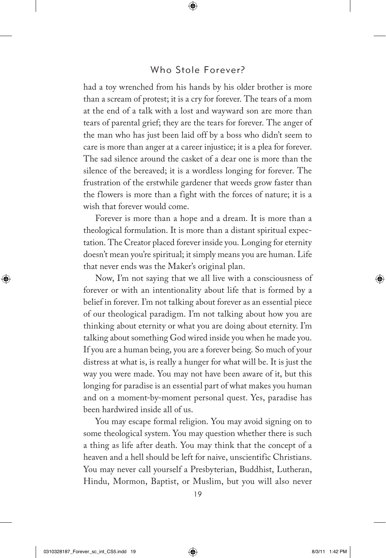## Who Stole Forever?

had a toy wrenched from his hands by his older brother is more than a scream of protest; it is a cry for forever. The tears of a mom at the end of a talk with a lost and wayward son are more than tears of parental grief; they are the tears for forever. The anger of the man who has just been laid off by a boss who didn't seem to care is more than anger at a career injustice; it is a plea for forever. The sad silence around the casket of a dear one is more than the silence of the bereaved; it is a wordless longing for forever. The frustration of the erstwhile gardener that weeds grow faster than the flowers is more than a fight with the forces of nature; it is a wish that forever would come.

Forever is more than a hope and a dream. It is more than a theological formulation. It is more than a distant spiritual expectation. The Creator placed forever inside you. Longing for eternity doesn't mean you're spiritual; it simply means you are human. Life that never ends was the Maker's original plan.

Now, I'm not saying that we all live with a consciousness of forever or with an intentionality about life that is formed by a belief in forever. I'm not talking about forever as an essential piece of our theological paradigm. I'm not talking about how you are thinking about eternity or what you are doing about eternity. I'm talking about something God wired inside you when he made you. If you are a human being, you are a forever being. So much of your distress at what is, is really a hunger for what will be. It is just the way you were made. You may not have been aware of it, but this longing for paradise is an essential part of what makes you human and on a moment-by-moment personal quest. Yes, paradise has been hardwired inside all of us.

You may escape formal religion. You may avoid signing on to some theological system. You may question whether there is such a thing as life after death. You may think that the concept of a heaven and a hell should be left for naive, unscientific Christians. You may never call yourself a Presbyterian, Buddhist, Lutheran, Hindu, Mormon, Baptist, or Muslim, but you will also never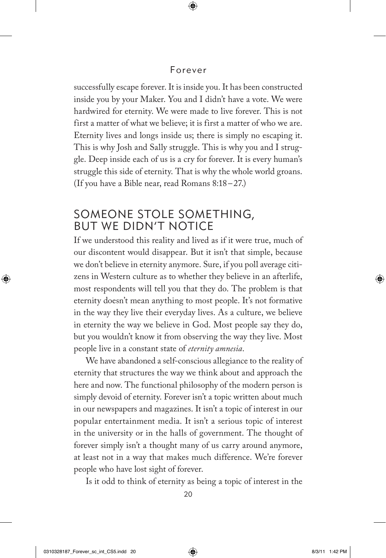successfully escape forever. It is inside you. It has been constructed inside you by your Maker. You and I didn't have a vote. We were hardwired for eternity. We were made to live forever. This is not first a matter of what we believe; it is first a matter of who we are. Eternity lives and longs inside us; there is simply no escaping it. This is why Josh and Sally struggle. This is why you and I struggle. Deep inside each of us is a cry for forever. It is every human's struggle this side of eternity. That is why the whole world groans. (If you have a Bible near, read Romans 8:18 –27.)

## Someone Stole Something, but We Didn't Notice

If we understood this reality and lived as if it were true, much of our discontent would disappear. But it isn't that simple, because we don't believe in eternity anymore. Sure, if you poll average citizens in Western culture as to whether they believe in an afterlife, most respondents will tell you that they do. The problem is that eternity doesn't mean anything to most people. It's not formative in the way they live their everyday lives. As a culture, we believe in eternity the way we believe in God. Most people say they do, but you wouldn't know it from observing the way they live. Most people live in a constant state of *eternity amnesia*.

We have abandoned a self-conscious allegiance to the reality of eternity that structures the way we think about and approach the here and now. The functional philosophy of the modern person is simply devoid of eternity. Forever isn't a topic written about much in our newspapers and magazines. It isn't a topic of interest in our popular entertainment media. It isn't a serious topic of interest in the university or in the halls of government. The thought of forever simply isn't a thought many of us carry around anymore, at least not in a way that makes much difference. We're forever people who have lost sight of forever.

Is it odd to think of eternity as being a topic of interest in the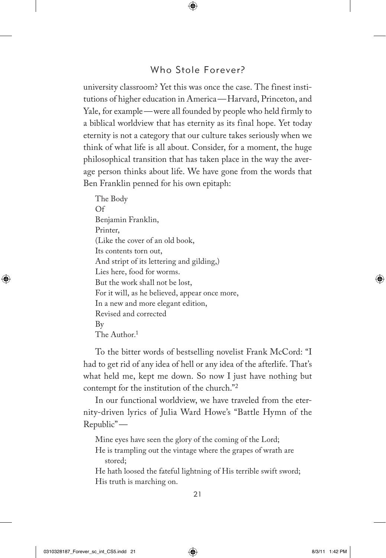## Who Stole Forever?

university classroom? Yet this was once the case. The finest institutions of higher education in America— Harvard, Princeton, and Yale, for example— were all founded by people who held firmly to a biblical worldview that has eternity as its final hope. Yet today eternity is not a category that our culture takes seriously when we think of what life is all about. Consider, for a moment, the huge philosophical transition that has taken place in the way the average person thinks about life. We have gone from the words that Ben Franklin penned for his own epitaph:

The Body Of Benjamin Franklin, Printer, (Like the cover of an old book, Its contents torn out, And stript of its lettering and gilding,) Lies here, food for worms. But the work shall not be lost, For it will, as he believed, appear once more, In a new and more elegant edition, Revised and corrected By The Author.<sup>1</sup>

To the bitter words of bestselling novelist Frank McCord: "I had to get rid of any idea of hell or any idea of the afterlife. That's what held me, kept me down. So now I just have nothing but contempt for the institution of the church."<sup>2</sup>

In our functional worldview, we have traveled from the eternity-driven lyrics of Julia Ward Howe's "Battle Hymn of the Republic"—

Mine eyes have seen the glory of the coming of the Lord;

He is trampling out the vintage where the grapes of wrath are stored;

He hath loosed the fateful lightning of His terrible swift sword; His truth is marching on.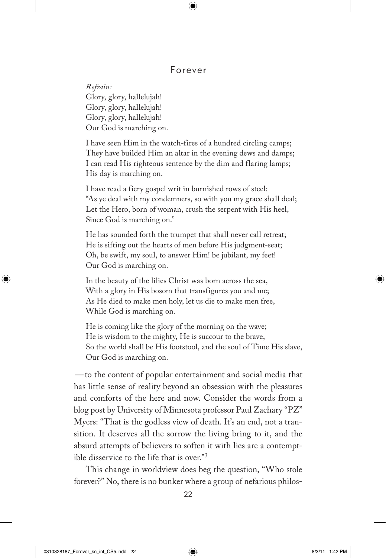*Refrain:* Glory, glory, hallelujah! Glory, glory, hallelujah! Glory, glory, hallelujah! Our God is marching on.

I have seen Him in the watch-fires of a hundred circling camps; They have builded Him an altar in the evening dews and damps; I can read His righteous sentence by the dim and flaring lamps; His day is marching on.

I have read a fiery gospel writ in burnished rows of steel: "As ye deal with my condemners, so with you my grace shall deal; Let the Hero, born of woman, crush the serpent with His heel, Since God is marching on."

He has sounded forth the trumpet that shall never call retreat; He is sifting out the hearts of men before His judgment-seat; Oh, be swift, my soul, to answer Him! be jubilant, my feet! Our God is marching on.

In the beauty of the lilies Christ was born across the sea, With a glory in His bosom that transfigures you and me; As He died to make men holy, let us die to make men free, While God is marching on.

He is coming like the glory of the morning on the wave; He is wisdom to the mighty, He is succour to the brave, So the world shall be His footstool, and the soul of Time His slave, Our God is marching on.

— to the content of popular entertainment and social media that has little sense of reality beyond an obsession with the pleasures and comforts of the here and now. Consider the words from a blog post by University of Minnesota professor Paul Zachary "PZ" Myers: "That is the godless view of death. It's an end, not a transition. It deserves all the sorrow the living bring to it, and the absurd attempts of believers to soften it with lies are a contemptible disservice to the life that is over."<sup>3</sup>

This change in worldview does beg the question, "Who stole forever?" No, there is no bunker where a group of nefarious philos-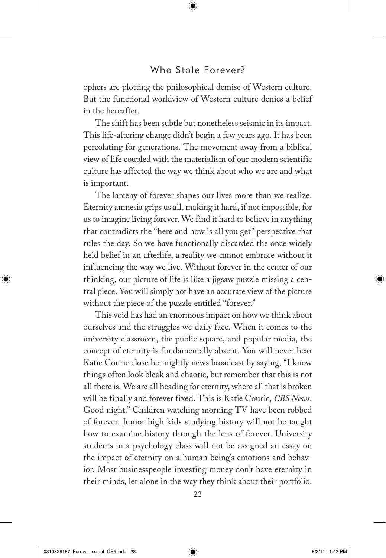## Who Stole Forever?

ophers are plotting the philosophical demise of Western culture. But the functional worldview of Western culture denies a belief in the hereafter.

The shift has been subtle but nonetheless seismic in its impact. This life-altering change didn't begin a few years ago. It has been percolating for generations. The movement away from a biblical view of life coupled with the materialism of our modern scientific culture has affected the way we think about who we are and what is important.

The larceny of forever shapes our lives more than we realize. Eternity amnesia grips us all, making it hard, if not impossible, for us to imagine living forever. We find it hard to believe in anything that contradicts the "here and now is all you get" perspective that rules the day. So we have functionally discarded the once widely held belief in an afterlife, a reality we cannot embrace without it influencing the way we live. Without forever in the center of our thinking, our picture of life is like a jigsaw puzzle missing a central piece. You will simply not have an accurate view of the picture without the piece of the puzzle entitled "forever."

This void has had an enormous impact on how we think about ourselves and the struggles we daily face. When it comes to the university classroom, the public square, and popular media, the concept of eternity is fundamentally absent. You will never hear Katie Couric close her nightly news broadcast by saying, "I know things often look bleak and chaotic, but remember that this is not all there is. We are all heading for eternity, where all that is broken will be finally and forever fixed. This is Katie Couric, *CBS News*. Good night." Children watching morning TV have been robbed of forever. Junior high kids studying history will not be taught how to examine history through the lens of forever. University students in a psychology class will not be assigned an essay on the impact of eternity on a human being's emotions and behavior. Most businesspeople investing money don't have eternity in their minds, let alone in the way they think about their portfolio.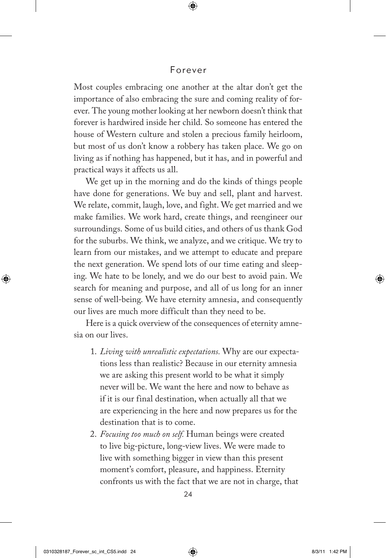Most couples embracing one another at the altar don't get the importance of also embracing the sure and coming reality of forever. The young mother looking at her newborn doesn't think that forever is hardwired inside her child. So someone has entered the house of Western culture and stolen a precious family heirloom, but most of us don't know a robbery has taken place. We go on living as if nothing has happened, but it has, and in powerful and practical ways it affects us all.

We get up in the morning and do the kinds of things people have done for generations. We buy and sell, plant and harvest. We relate, commit, laugh, love, and fight. We get married and we make families. We work hard, create things, and reengineer our surroundings. Some of us build cities, and others of us thank God for the suburbs. We think, we analyze, and we critique. We try to learn from our mistakes, and we attempt to educate and prepare the next generation. We spend lots of our time eating and sleeping. We hate to be lonely, and we do our best to avoid pain. We search for meaning and purpose, and all of us long for an inner sense of well-being. We have eternity amnesia, and consequently our lives are much more difficult than they need to be.

Here is a quick overview of the consequences of eternity amnesia on our lives.

- 1. *Living with unrealistic expectations.* Why are our expectations less than realistic? Because in our eternity amnesia we are asking this present world to be what it simply never will be. We want the here and now to behave as if it is our final destination, when actually all that we are experiencing in the here and now prepares us for the destination that is to come.
- 2. *Focusing too much on self.* Human beings were created to live big-picture, long-view lives. We were made to live with something bigger in view than this present moment's comfort, pleasure, and happiness. Eternity confronts us with the fact that we are not in charge, that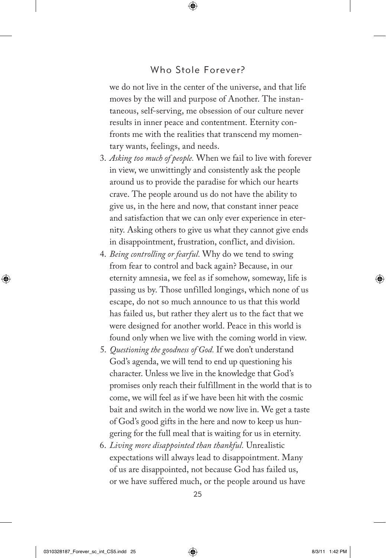## Who Stole Forever?

we do not live in the center of the universe, and that life moves by the will and purpose of Another. The instantaneous, self-serving, me obsession of our culture never results in inner peace and contentment. Eternity confronts me with the realities that transcend my momentary wants, feelings, and needs.

- 3. *Asking too much of people.* When we fail to live with forever in view, we unwittingly and consistently ask the people around us to provide the paradise for which our hearts crave. The people around us do not have the ability to give us, in the here and now, that constant inner peace and satisfaction that we can only ever experience in eternity. Asking others to give us what they cannot give ends in disappointment, frustration, conflict, and division.
- 4. *Being controlling or fearful.* Why do we tend to swing from fear to control and back again? Because, in our eternity amnesia, we feel as if somehow, someway, life is passing us by. Those unfilled longings, which none of us escape, do not so much announce to us that this world has failed us, but rather they alert us to the fact that we were designed for another world. Peace in this world is found only when we live with the coming world in view.
- 5. *Questioning the goodness of God.* If we don't understand God's agenda, we will tend to end up questioning his character. Unless we live in the knowledge that God's promises only reach their fulfillment in the world that is to come, we will feel as if we have been hit with the cosmic bait and switch in the world we now live in. We get a taste of God's good gifts in the here and now to keep us hungering for the full meal that is waiting for us in eternity.
- 6. *Living more disappointed than thankful.* Unrealistic expectations will always lead to disappointment. Many of us are disappointed, not because God has failed us, or we have suffered much, or the people around us have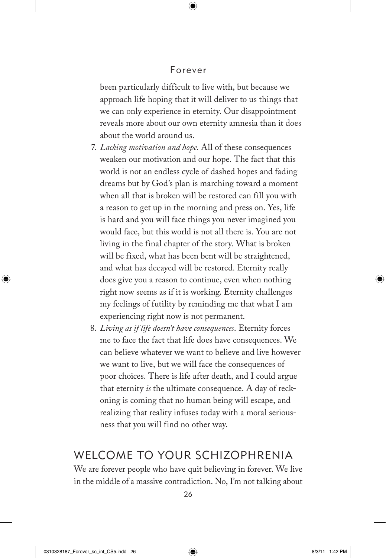been particularly difficult to live with, but because we approach life hoping that it will deliver to us things that we can only experience in eternity. Our disappointment reveals more about our own eternity amnesia than it does about the world around us.

- 7. *Lacking motivation and hope.* All of these consequences weaken our motivation and our hope. The fact that this world is not an endless cycle of dashed hopes and fading dreams but by God's plan is marching toward a moment when all that is broken will be restored can fill you with a reason to get up in the morning and press on. Yes, life is hard and you will face things you never imagined you would face, but this world is not all there is. You are not living in the final chapter of the story. What is broken will be fixed, what has been bent will be straightened, and what has decayed will be restored. Eternity really does give you a reason to continue, even when nothing right now seems as if it is working. Eternity challenges my feelings of futility by reminding me that what I am experiencing right now is not permanent.
- 8. *Living as if life doesn't have consequences*. Eternity forces me to face the fact that life does have consequences. We can believe whatever we want to believe and live however we want to live, but we will face the consequences of poor choices. There is life after death, and I could argue that eternity *is* the ultimate consequence. A day of reckoning is coming that no human being will escape, and realizing that reality infuses today with a moral seriousness that you will find no other way.

## Welcome to Your Schizophrenia

We are forever people who have quit believing in forever. We live in the middle of a massive contradiction. No, I'm not talking about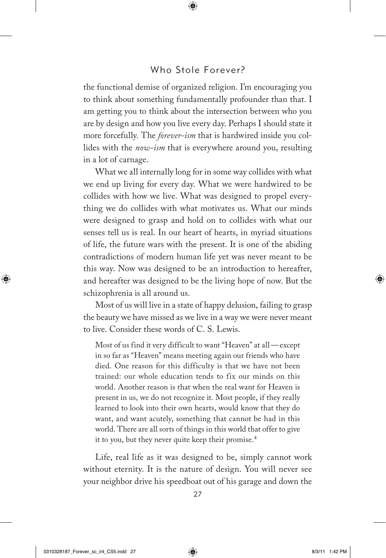## Who Stole Forever?

the functional demise of organized religion. I'm encouraging you to think about something fundamentally profounder than that. I am getting you to think about the intersection between who you are by design and how you live every day. Perhaps I should state it more forcefully. The *forever-ism* that is hardwired inside you collides with the *now-ism* that is everywhere around you, resulting in a lot of carnage.

What we all internally long for in some way collides with what we end up living for every day. What we were hardwired to be collides with how we live. What was designed to propel everything we do collides with what motivates us. What our minds were designed to grasp and hold on to collides with what our senses tell us is real. In our heart of hearts, in myriad situations of life, the future wars with the present. It is one of the abiding contradictions of modern human life yet was never meant to be this way. Now was designed to be an introduction to hereafter, and hereafter was designed to be the living hope of now. But the schizophrenia is all around us.

Most of us will live in a state of happy delusion, failing to grasp the beauty we have missed as we live in a way we were never meant to live. Consider these words of C. S. Lewis.

Most of us find it very difficult to want "Heaven" at all— except in so far as "Heaven" means meeting again our friends who have died. One reason for this difficulty is that we have not been trained: our whole education tends to fix our minds on this world. Another reason is that when the real want for Heaven is present in us, we do not recognize it. Most people, if they really learned to look into their own hearts, would know that they do want, and want acutely, something that cannot be had in this world. There are all sorts of things in this world that offer to give it to you, but they never quite keep their promise.<sup>4</sup>

Life, real life as it was designed to be, simply cannot work without eternity. It is the nature of design. You will never see your neighbor drive his speedboat out of his garage and down the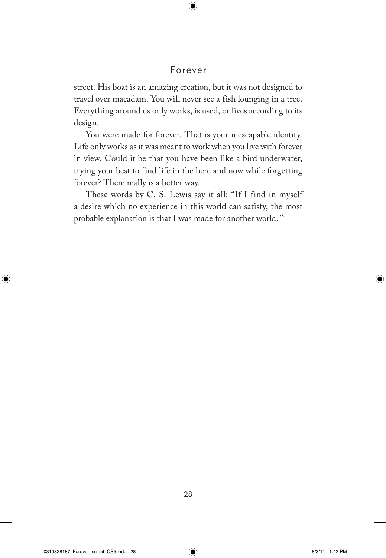street. His boat is an amazing creation, but it was not designed to travel over macadam. You will never see a fish lounging in a tree. Everything around us only works, is used, or lives according to its design.

You were made for forever. That is your inescapable identity. Life only works as it was meant to work when you live with forever in view. Could it be that you have been like a bird underwater, trying your best to find life in the here and now while forgetting forever? There really is a better way.

These words by C. S. Lewis say it all: "If I find in myself a desire which no experience in this world can satisfy, the most probable explanation is that I was made for another world."<sup>5</sup>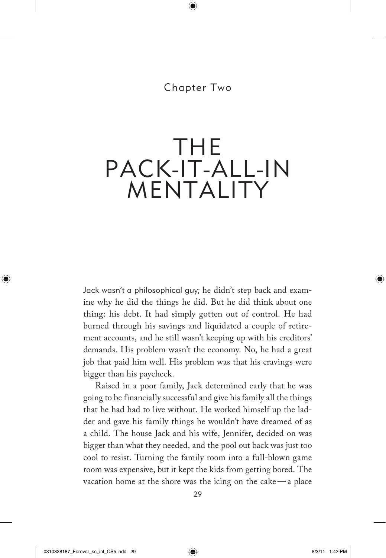Chapter Two

## THE. PACK-IT-ALL-IN **MENTALITY**

Jack wasn't a philosophical guy; he didn't step back and examine why he did the things he did. But he did think about one thing: his debt. It had simply gotten out of control. He had burned through his savings and liquidated a couple of retirement accounts, and he still wasn't keeping up with his creditors' demands. His problem wasn't the economy. No, he had a great job that paid him well. His problem was that his cravings were bigger than his paycheck.

Raised in a poor family, Jack determined early that he was going to be financially successful and give his family all the things that he had had to live without. He worked himself up the ladder and gave his family things he wouldn't have dreamed of as a child. The house Jack and his wife, Jennifer, decided on was bigger than what they needed, and the pool out back was just too cool to resist. Turning the family room into a full-blown game room was expensive, but it kept the kids from getting bored. The vacation home at the shore was the icing on the cake— a place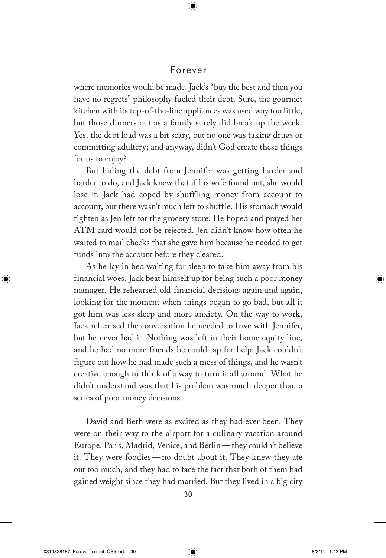where memories would be made. Jack's "buy the best and then you have no regrets" philosophy fueled their debt. Sure, the gourmet kitchen with its top-of-the-line appliances was used way too little, but those dinners out as a family surely did break up the week. Yes, the debt load was a bit scary, but no one was taking drugs or committing adultery; and anyway, didn't God create these things for us to enjoy?

But hiding the debt from Jennifer was getting harder and harder to do, and Jack knew that if his wife found out, she would lose it. Jack had coped by shuffling money from account to account, but there wasn't much left to shuffle. His stomach would tighten as Jen left for the grocery store. He hoped and prayed her ATM card would not be rejected. Jen didn't know how often he waited to mail checks that she gave him because he needed to get funds into the account before they cleared.

As he lay in bed waiting for sleep to take him away from his financial woes, Jack beat himself up for being such a poor money manager. He rehearsed old financial decisions again and again, looking for the moment when things began to go bad, but all it got him was less sleep and more anxiety. On the way to work, Jack rehearsed the conversation he needed to have with Jennifer, but he never had it. Nothing was left in their home equity line, and he had no more friends he could tap for help. Jack couldn't figure out how he had made such a mess of things, and he wasn't creative enough to think of a way to turn it all around. What he didn't understand was that his problem was much deeper than a series of poor money decisions.

David and Beth were as excited as they had ever been. They were on their way to the airport for a culinary vacation around Europe. Paris, Madrid, Venice, and Berlin— they couldn't believe it. They were foodies— no doubt about it. They knew they ate out too much, and they had to face the fact that both of them had gained weight since they had married. But they lived in a big city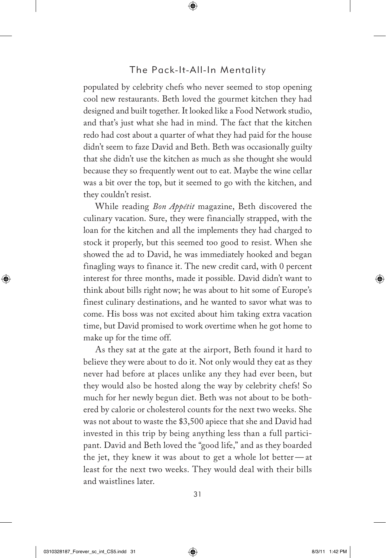## The Pack-It-All-In Mentality

populated by celebrity chefs who never seemed to stop opening cool new restaurants. Beth loved the gourmet kitchen they had designed and built together. It looked like a Food Network studio, and that's just what she had in mind. The fact that the kitchen redo had cost about a quarter of what they had paid for the house didn't seem to faze David and Beth. Beth was occasionally guilty that she didn't use the kitchen as much as she thought she would because they so frequently went out to eat. Maybe the wine cellar was a bit over the top, but it seemed to go with the kitchen, and they couldn't resist.

While reading *Bon Appétit* magazine, Beth discovered the culinary vacation. Sure, they were financially strapped, with the loan for the kitchen and all the implements they had charged to stock it properly, but this seemed too good to resist. When she showed the ad to David, he was immediately hooked and began finagling ways to finance it. The new credit card, with 0 percent interest for three months, made it possible. David didn't want to think about bills right now; he was about to hit some of Europe's finest culinary destinations, and he wanted to savor what was to come. His boss was not excited about him taking extra vacation time, but David promised to work overtime when he got home to make up for the time off.

As they sat at the gate at the airport, Beth found it hard to believe they were about to do it. Not only would they eat as they never had before at places unlike any they had ever been, but they would also be hosted along the way by celebrity chefs! So much for her newly begun diet. Beth was not about to be bothered by calorie or cholesterol counts for the next two weeks. She was not about to waste the \$3,500 apiece that she and David had invested in this trip by being anything less than a full participant. David and Beth loved the "good life," and as they boarded the jet, they knew it was about to get a whole lot better — at least for the next two weeks. They would deal with their bills and waistlines later.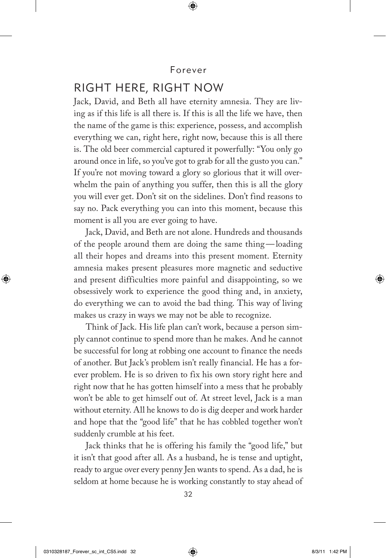## Right Here, Right Now

Jack, David, and Beth all have eternity amnesia. They are living as if this life is all there is. If this is all the life we have, then the name of the game is this: experience, possess, and accomplish everything we can, right here, right now, because this is all there is. The old beer commercial captured it powerfully: "You only go around once in life, so you've got to grab for all the gusto you can." If you're not moving toward a glory so glorious that it will overwhelm the pain of anything you suffer, then this is all the glory you will ever get. Don't sit on the sidelines. Don't find reasons to say no. Pack everything you can into this moment, because this moment is all you are ever going to have.

Jack, David, and Beth are not alone. Hundreds and thousands of the people around them are doing the same thing— loading all their hopes and dreams into this present moment. Eternity amnesia makes present pleasures more magnetic and seductive and present difficulties more painful and disappointing, so we obsessively work to experience the good thing and, in anxiety, do everything we can to avoid the bad thing. This way of living makes us crazy in ways we may not be able to recognize.

Think of Jack. His life plan can't work, because a person simply cannot continue to spend more than he makes. And he cannot be successful for long at robbing one account to finance the needs of another. But Jack's problem isn't really financial. He has a forever problem. He is so driven to fix his own story right here and right now that he has gotten himself into a mess that he probably won't be able to get himself out of. At street level, Jack is a man without eternity. All he knows to do is dig deeper and work harder and hope that the "good life" that he has cobbled together won't suddenly crumble at his feet.

Jack thinks that he is offering his family the "good life," but it isn't that good after all. As a husband, he is tense and uptight, ready to argue over every penny Jen wants to spend. As a dad, he is seldom at home because he is working constantly to stay ahead of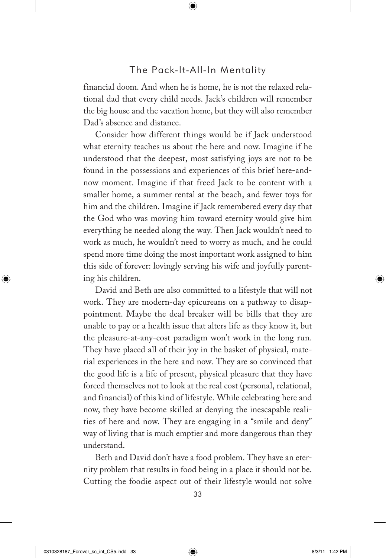## The Pack-It-All-In Mentality

financial doom. And when he is home, he is not the relaxed relational dad that every child needs. Jack's children will remember the big house and the vacation home, but they will also remember Dad's absence and distance.

Consider how different things would be if Jack understood what eternity teaches us about the here and now. Imagine if he understood that the deepest, most satisfying joys are not to be found in the possessions and experiences of this brief here-andnow moment. Imagine if that freed Jack to be content with a smaller home, a summer rental at the beach, and fewer toys for him and the children. Imagine if Jack remembered every day that the God who was moving him toward eternity would give him everything he needed along the way. Then Jack wouldn't need to work as much, he wouldn't need to worry as much, and he could spend more time doing the most important work assigned to him this side of forever: lovingly serving his wife and joyfully parenting his children.

David and Beth are also committed to a lifestyle that will not work. They are modern-day epicureans on a pathway to disappointment. Maybe the deal breaker will be bills that they are unable to pay or a health issue that alters life as they know it, but the pleasure-at-any-cost paradigm won't work in the long run. They have placed all of their joy in the basket of physical, material experiences in the here and now. They are so convinced that the good life is a life of present, physical pleasure that they have forced themselves not to look at the real cost (personal, relational, and financial) of this kind of lifestyle. While celebrating here and now, they have become skilled at denying the inescapable realities of here and now. They are engaging in a "smile and deny" way of living that is much emptier and more dangerous than they understand.

Beth and David don't have a food problem. They have an eternity problem that results in food being in a place it should not be. Cutting the foodie aspect out of their lifestyle would not solve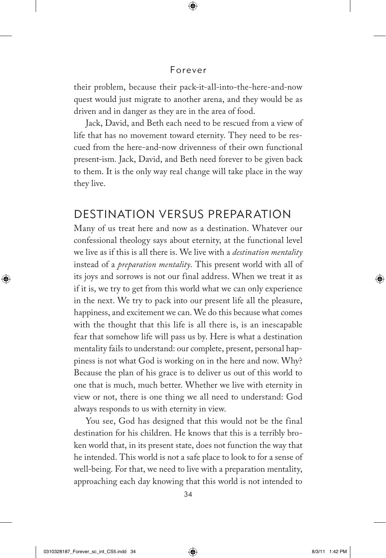their problem, because their pack-it-all-into-the-here-and-now quest would just migrate to another arena, and they would be as driven and in danger as they are in the area of food.

Jack, David, and Beth each need to be rescued from a view of life that has no movement toward eternity. They need to be rescued from the here-and-now drivenness of their own functional present-ism. Jack, David, and Beth need forever to be given back to them. It is the only way real change will take place in the way they live.

## Destination versus Preparation

Many of us treat here and now as a destination. Whatever our confessional theology says about eternity, at the functional level we live as if this is all there is. We live with a *destination mentality* instead of a *preparation mentality*. This present world with all of its joys and sorrows is not our final address. When we treat it as if it is, we try to get from this world what we can only experience in the next. We try to pack into our present life all the pleasure, happiness, and excitement we can. We do this because what comes with the thought that this life is all there is, is an inescapable fear that somehow life will pass us by. Here is what a destination mentality fails to understand: our complete, present, personal happiness is not what God is working on in the here and now. Why? Because the plan of his grace is to deliver us out of this world to one that is much, much better. Whether we live with eternity in view or not, there is one thing we all need to understand: God always responds to us with eternity in view.

You see, God has designed that this would not be the final destination for his children. He knows that this is a terribly broken world that, in its present state, does not function the way that he intended. This world is not a safe place to look to for a sense of well-being. For that, we need to live with a preparation mentality, approaching each day knowing that this world is not intended to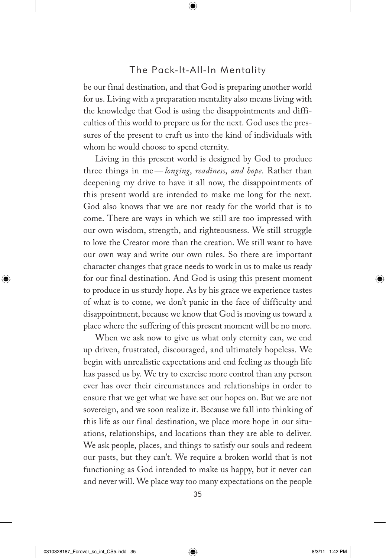#### The Pack-It-All-In Mentality

be our final destination, and that God is preparing another world for us. Living with a preparation mentality also means living with the knowledge that God is using the disappointments and difficulties of this world to prepare us for the next. God uses the pressures of the present to craft us into the kind of individuals with whom he would choose to spend eternity.

Living in this present world is designed by God to produce three things in me— *longing*, *readiness*, *and hope*. Rather than deepening my drive to have it all now, the disappointments of this present world are intended to make me long for the next. God also knows that we are not ready for the world that is to come. There are ways in which we still are too impressed with our own wisdom, strength, and righteousness. We still struggle to love the Creator more than the creation. We still want to have our own way and write our own rules. So there are important character changes that grace needs to work in us to make us ready for our final destination. And God is using this present moment to produce in us sturdy hope. As by his grace we experience tastes of what is to come, we don't panic in the face of difficulty and disappointment, because we know that God is moving us toward a place where the suffering of this present moment will be no more.

When we ask now to give us what only eternity can, we end up driven, frustrated, discouraged, and ultimately hopeless. We begin with unrealistic expectations and end feeling as though life has passed us by. We try to exercise more control than any person ever has over their circumstances and relationships in order to ensure that we get what we have set our hopes on. But we are not sovereign, and we soon realize it. Because we fall into thinking of this life as our final destination, we place more hope in our situations, relationships, and locations than they are able to deliver. We ask people, places, and things to satisfy our souls and redeem our pasts, but they can't. We require a broken world that is not functioning as God intended to make us happy, but it never can and never will. We place way too many expectations on the people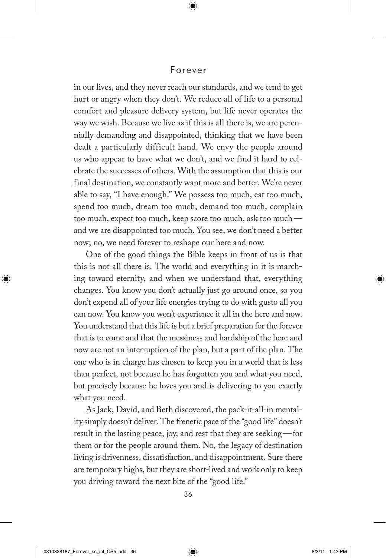in our lives, and they never reach our standards, and we tend to get hurt or angry when they don't. We reduce all of life to a personal comfort and pleasure delivery system, but life never operates the way we wish. Because we live as if this is all there is, we are perennially demanding and disappointed, thinking that we have been dealt a particularly difficult hand. We envy the people around us who appear to have what we don't, and we find it hard to celebrate the successes of others. With the assumption that this is our final destination, we constantly want more and better. We're never able to say, "I have enough." We possess too much, eat too much, spend too much, dream too much, demand too much, complain too much, expect too much, keep score too much, ask too much and we are disappointed too much. You see, we don't need a better now; no, we need forever to reshape our here and now.

One of the good things the Bible keeps in front of us is that this is not all there is. The world and everything in it is marching toward eternity, and when we understand that, everything changes. You know you don't actually just go around once, so you don't expend all of your life energies trying to do with gusto all you can now. You know you won't experience it all in the here and now. You understand that this life is but a brief preparation for the forever that is to come and that the messiness and hardship of the here and now are not an interruption of the plan, but a part of the plan. The one who is in charge has chosen to keep you in a world that is less than perfect, not because he has forgotten you and what you need, but precisely because he loves you and is delivering to you exactly what you need.

As Jack, David, and Beth discovered, the pack-it-all-in mentality simply doesn't deliver. The frenetic pace of the "good life" doesn't result in the lasting peace, joy, and rest that they are seeking— for them or for the people around them. No, the legacy of destination living is drivenness, dissatisfaction, and disappointment. Sure there are temporary highs, but they are short-lived and work only to keep you driving toward the next bite of the "good life."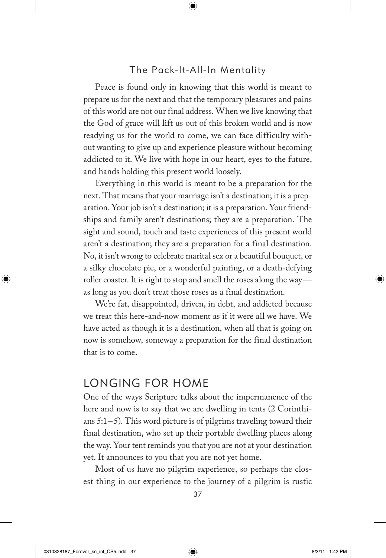#### The Pack-It-All-In Mentality

Peace is found only in knowing that this world is meant to prepare us for the next and that the temporary pleasures and pains of this world are not our final address. When we live knowing that the God of grace will lift us out of this broken world and is now readying us for the world to come, we can face difficulty without wanting to give up and experience pleasure without becoming addicted to it. We live with hope in our heart, eyes to the future, and hands holding this present world loosely.

Everything in this world is meant to be a preparation for the next. That means that your marriage isn't a destination; it is a preparation. Your job isn't a destination; it is a preparation. Your friendships and family aren't destinations; they are a preparation. The sight and sound, touch and taste experiences of this present world aren't a destination; they are a preparation for a final destination. No, it isn't wrong to celebrate marital sex or a beautiful bouquet, or a silky chocolate pie, or a wonderful painting, or a death-defying roller coaster. It is right to stop and smell the roses along the way as long as you don't treat those roses as a final destination.

We're fat, disappointed, driven, in debt, and addicted because we treat this here-and-now moment as if it were all we have. We have acted as though it is a destination, when all that is going on now is somehow, someway a preparation for the final destination that is to come.

## Longing for Home

One of the ways Scripture talks about the impermanence of the here and now is to say that we are dwelling in tents (2 Corinthians 5:1–5). This word picture is of pilgrims traveling toward their final destination, who set up their portable dwelling places along the way. Your tent reminds you that you are not at your destination yet. It announces to you that you are not yet home.

Most of us have no pilgrim experience, so perhaps the closest thing in our experience to the journey of a pilgrim is rustic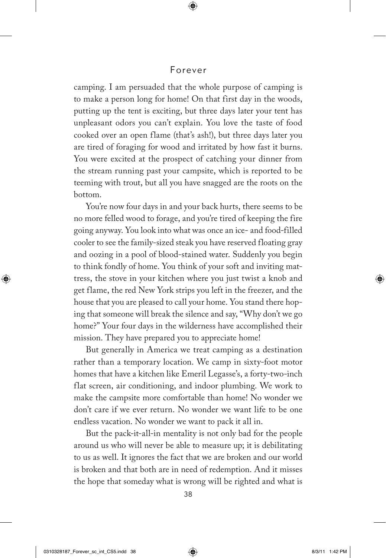camping. I am persuaded that the whole purpose of camping is to make a person long for home! On that first day in the woods, putting up the tent is exciting, but three days later your tent has unpleasant odors you can't explain. You love the taste of food cooked over an open flame (that's ash!), but three days later you are tired of foraging for wood and irritated by how fast it burns. You were excited at the prospect of catching your dinner from the stream running past your campsite, which is reported to be teeming with trout, but all you have snagged are the roots on the bottom.

You're now four days in and your back hurts, there seems to be no more felled wood to forage, and you're tired of keeping the fire going anyway. You look into what was once an ice- and food-filled cooler to see the family-sized steak you have reserved floating gray and oozing in a pool of blood-stained water. Suddenly you begin to think fondly of home. You think of your soft and inviting mattress, the stove in your kitchen where you just twist a knob and get flame, the red New York strips you left in the freezer, and the house that you are pleased to call your home. You stand there hoping that someone will break the silence and say, "Why don't we go home?" Your four days in the wilderness have accomplished their mission. They have prepared you to appreciate home!

But generally in America we treat camping as a destination rather than a temporary location. We camp in sixty-foot motor homes that have a kitchen like Emeril Legasse's, a forty-two-inch flat screen, air conditioning, and indoor plumbing. We work to make the campsite more comfortable than home! No wonder we don't care if we ever return. No wonder we want life to be one endless vacation. No wonder we want to pack it all in.

But the pack-it-all-in mentality is not only bad for the people around us who will never be able to measure up; it is debilitating to us as well. It ignores the fact that we are broken and our world is broken and that both are in need of redemption. And it misses the hope that someday what is wrong will be righted and what is